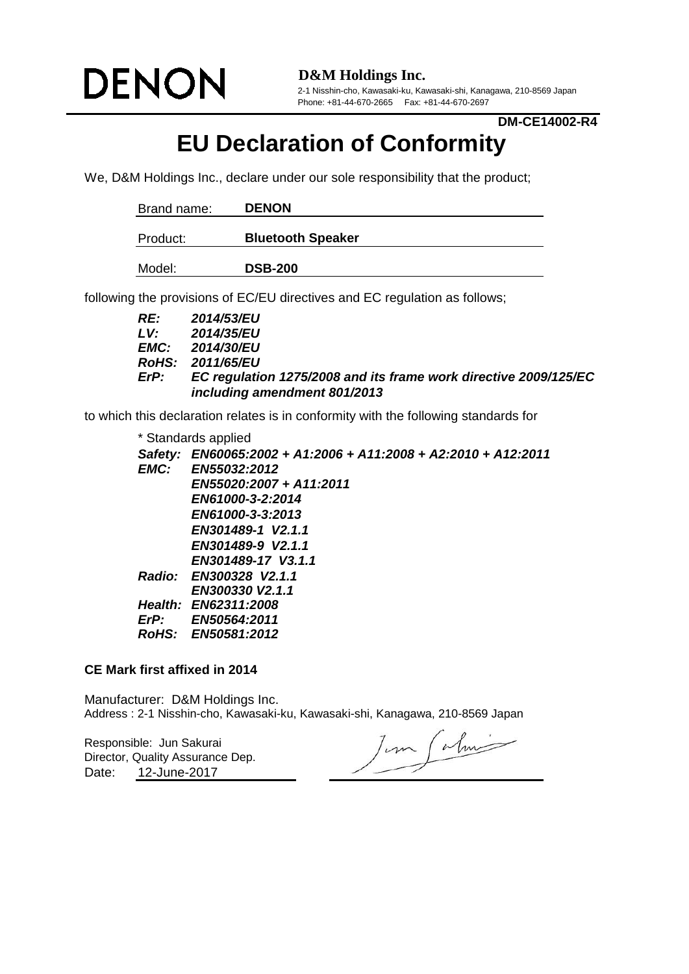

**D&M Holdings Inc.**

2-1 Nisshin-cho, Kawasaki-ku, Kawasaki-shi, Kanagawa, 210-8569 Japan Phone: +81-44-670-2665 Fax: +81-44-670-2697

**DM-CE14002-R4**

## **EU Declaration of Conformity**

We, D&M Holdings Inc., declare under our sole responsibility that the product;

| Brand name: | <b>DENON</b>             |
|-------------|--------------------------|
| Product:    | <b>Bluetooth Speaker</b> |
|             |                          |
| Model:      | <b>DSB-200</b>           |

following the provisions of EC/EU directives and EC regulation as follows;

| RE:  | <b>2014/53/EU</b>                                                |
|------|------------------------------------------------------------------|
| LV.  | <b>2014/35/EU</b>                                                |
|      | <b>EMC:</b> 2014/30/EU                                           |
|      | RoHS: 2011/65/EU                                                 |
| ErP: | EC regulation 1275/2008 and its frame work directive 2009/125/EC |
|      | including amendment 801/2013                                     |

to which this declaration relates is in conformity with the following standards for

| * Standards applied                                            |
|----------------------------------------------------------------|
| Safety: EN60065:2002 + A1:2006 + A11:2008 + A2:2010 + A12:2011 |
| EMC: EN55032:2012                                              |
| EN55020:2007 + A11:2011                                        |
| EN61000-3-2:2014                                               |
| EN61000-3-3:2013                                               |
| EN301489-1 V2.1.1                                              |
| EN301489-9 V2.1.1                                              |
| EN301489-17 V3.1.1                                             |
| Radio: EN300328 V2.1.1                                         |
| EN300330 V2.1.1                                                |
| Health: EN62311:2008                                           |
| ErP: EN50564:2011                                              |
| RoHS: EN50581:2012                                             |
|                                                                |

## **CE Mark first affixed in 2014**

Manufacturer: D&M Holdings Inc. Address : 2-1 Nisshin-cho, Kawasaki-ku, Kawasaki-shi, Kanagawa, 210-8569 Japan

Responsible: Jun Sakurai Date: 12-June-2017 Director, Quality Assurance Dep.

Jun Calmi